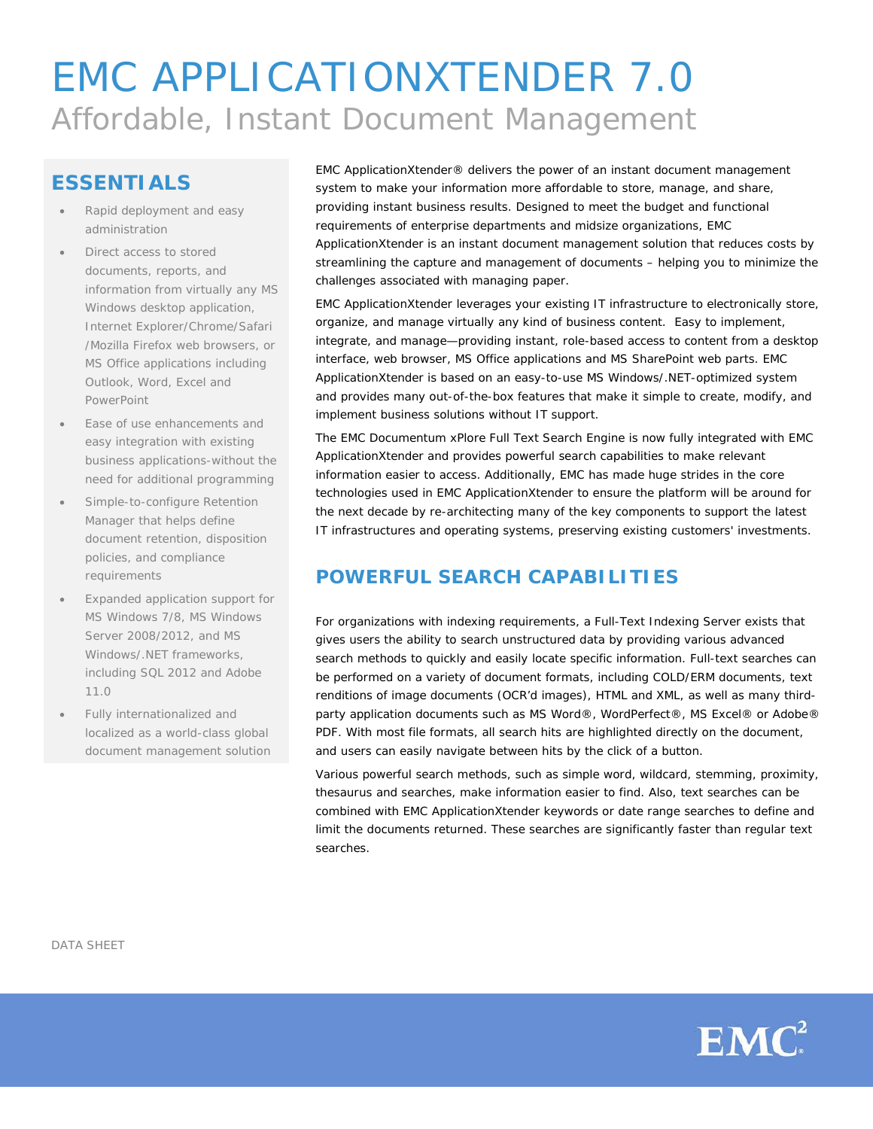# EMC APPLICATIONXTENDER 7.0 Affordable, Instant Document Management

## **ESSENTIALS**

- Rapid deployment and easy administration
- Direct access to stored documents, reports, and information from virtually any MS Windows desktop application, Internet Explorer/Chrome/Safari /Mozilla Firefox web browsers, or MS Office applications including Outlook, Word, Excel and PowerPoint
- Ease of use enhancements and easy integration with existing business applications-without the need for additional programming
- Simple-to-configure Retention Manager that helps define document retention, disposition policies, and compliance requirements
- Expanded application support for MS Windows 7/8, MS Windows Server 2008/2012, and MS Windows/.NET frameworks, including SQL 2012 and Adobe 11.0
- Fully internationalized and localized as a world-class global document management solution

EMC ApplicationXtender® delivers the power of an instant document management system to make your information more affordable to store, manage, and share, providing instant business results. Designed to meet the budget and functional requirements of enterprise departments and midsize organizations, EMC ApplicationXtender is an instant document management solution that reduces costs by streamlining the capture and management of documents – helping you to minimize the challenges associated with managing paper.

EMC ApplicationXtender leverages your existing IT infrastructure to electronically store, organize, and manage virtually any kind of business content. Easy to implement, integrate, and manage—providing instant, role-based access to content from a desktop interface, web browser, MS Office applications and MS SharePoint web parts. EMC ApplicationXtender is based on an easy-to-use MS Windows/.NET-optimized system and provides many out-of-the-box features that make it simple to create, modify, and implement business solutions without IT support.

The EMC Documentum xPlore Full Text Search Engine is now fully integrated with EMC ApplicationXtender and provides powerful search capabilities to make relevant information easier to access. Additionally, EMC has made huge strides in the core technologies used in EMC ApplicationXtender to ensure the platform will be around for the next decade by re-architecting many of the key components to support the latest IT infrastructures and operating systems, preserving existing customers' investments.

## **POWERFUL SEARCH CAPABILITIES**

For organizations with indexing requirements, a Full-Text Indexing Server exists that gives users the ability to search unstructured data by providing various advanced search methods to quickly and easily locate specific information. Full-text searches can be performed on a variety of document formats, including COLD/ERM documents, text renditions of image documents (OCR'd images), HTML and XML, as well as many thirdparty application documents such as MS Word®, WordPerfect®, MS Excel® or Adobe® PDF. With most file formats, all search hits are highlighted directly on the document, and users can easily navigate between hits by the click of a button.

Various powerful search methods, such as simple word, wildcard, stemming, proximity, thesaurus and searches, make information easier to find. Also, text searches can be combined with EMC ApplicationXtender keywords or date range searches to define and limit the documents returned. These searches are significantly faster than regular text searches.